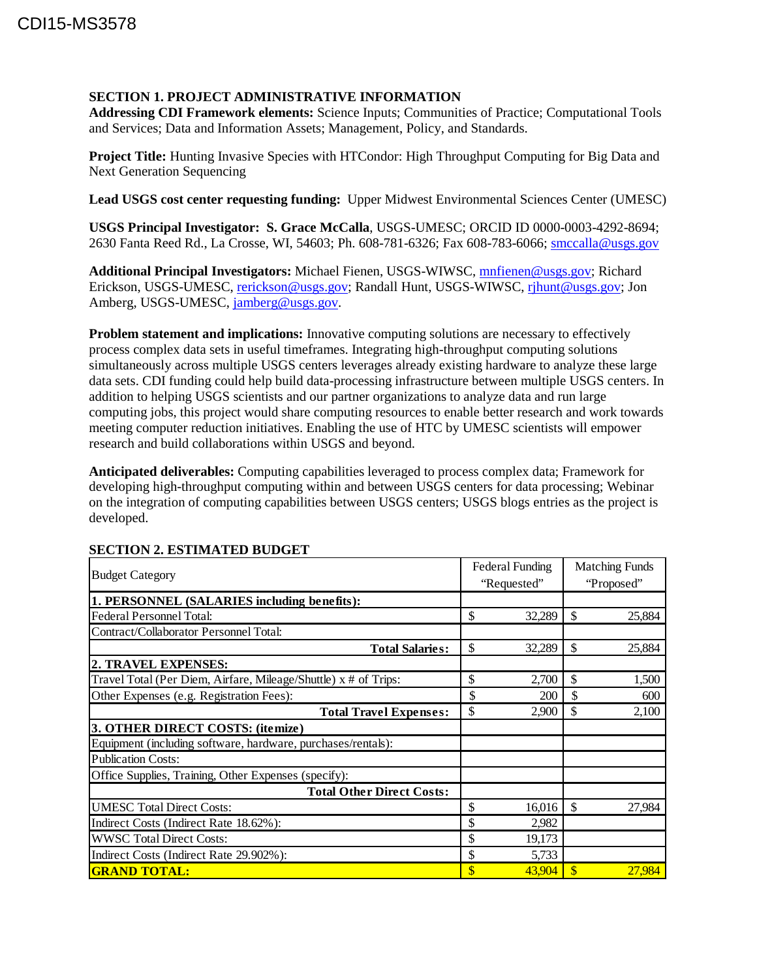## **SECTION 1. PROJECT ADMINISTRATIVE INFORMATION**

**Addressing CDI Framework elements:** Science Inputs; Communities of Practice; Computational Tools and Services; Data and Information Assets; Management, Policy, and Standards.

**Project Title:** Hunting Invasive Species with HTCondor: High Throughput Computing for Big Data and Next Generation Sequencing

**Lead USGS cost center requesting funding:** Upper Midwest Environmental Sciences Center (UMESC)

**USGS Principal Investigator: S. Grace McCalla**, USGS-UMESC; ORCID ID 0000-0003-4292-8694; 2630 Fanta Reed Rd., La Crosse, WI, 54603; Ph. 608-781-6326; Fax 608-783-6066; [smccalla@usgs.gov](mailto:smccalla@usgs.gov)

**Additional Principal Investigators:** Michael Fienen, USGS-WIWSC, [mnfienen@usgs.gov;](mailto:mnfienen@usgs.gov) Richard Erickson, USGS-UMESC, [rerickson@usgs.gov;](mailto:rerickson@usgs.gov) Randall Hunt, USGS-WIWSC, [rjhunt@usgs.gov;](mailto:rjhunt@usgs.gov) Jon Amberg, USGS-UMESC, [jamberg@usgs.gov.](mailto:jamberg@usgs.gov)

**Problem statement and implications:** Innovative computing solutions are necessary to effectively process complex data sets in useful timeframes. Integrating high-throughput computing solutions simultaneously across multiple USGS centers leverages already existing hardware to analyze these large data sets. CDI funding could help build data-processing infrastructure between multiple USGS centers. In addition to helping USGS scientists and our partner organizations to analyze data and run large computing jobs, this project would share computing resources to enable better research and work towards meeting computer reduction initiatives. Enabling the use of HTC by UMESC scientists will empower research and build collaborations within USGS and beyond.

**Anticipated deliverables:** Computing capabilities leveraged to process complex data; Framework for developing high-throughput computing within and between USGS centers for data processing; Webinar on the integration of computing capabilities between USGS centers; USGS blogs entries as the project is developed.

| <b>Budget Category</b>                                          | Federal Funding |        | <b>Matching Funds</b>  |        |
|-----------------------------------------------------------------|-----------------|--------|------------------------|--------|
|                                                                 | "Requested"     |        | "Proposed"             |        |
| 1. PERSONNEL (SALARIES including benefits):                     |                 |        |                        |        |
| Federal Personnel Total:                                        | \$              | 32,289 | \$                     | 25,884 |
| Contract/Collaborator Personnel Total:                          |                 |        |                        |        |
| <b>Total Salaries:</b>                                          | \$              | 32,289 | \$                     | 25,884 |
| 2. TRAVEL EXPENSES:                                             |                 |        |                        |        |
| Travel Total (Per Diem, Airfare, Mileage/Shuttle) x # of Trips: | \$              | 2,700  | \$                     | 1,500  |
| Other Expenses (e.g. Registration Fees):                        | \$              | 200    | \$                     | 600    |
| <b>Total Travel Expenses:</b>                                   | \$              | 2,900  | \$                     | 2,100  |
| 3. OTHER DIRECT COSTS: (itemize)                                |                 |        |                        |        |
| Equipment (including software, hardware, purchases/rentals):    |                 |        |                        |        |
| <b>Publication Costs:</b>                                       |                 |        |                        |        |
| Office Supplies, Training, Other Expenses (specify):            |                 |        |                        |        |
| <b>Total Other Direct Costs:</b>                                |                 |        |                        |        |
| <b>UMESC Total Direct Costs:</b>                                | \$              | 16,016 | $\mathcal{S}$          | 27,984 |
| Indirect Costs (Indirect Rate 18.62%):                          | \$              | 2,982  |                        |        |
| <b>WWSC Total Direct Costs:</b>                                 | \$              | 19,173 |                        |        |
| Indirect Costs (Indirect Rate 29.902%):                         | \$              | 5,733  |                        |        |
| <b>GRAND TOTAL:</b>                                             | \$              | 43,904 | $\mathbf{\mathcal{S}}$ | 27,984 |

## **SECTION 2. ESTIMATED BUDGET**